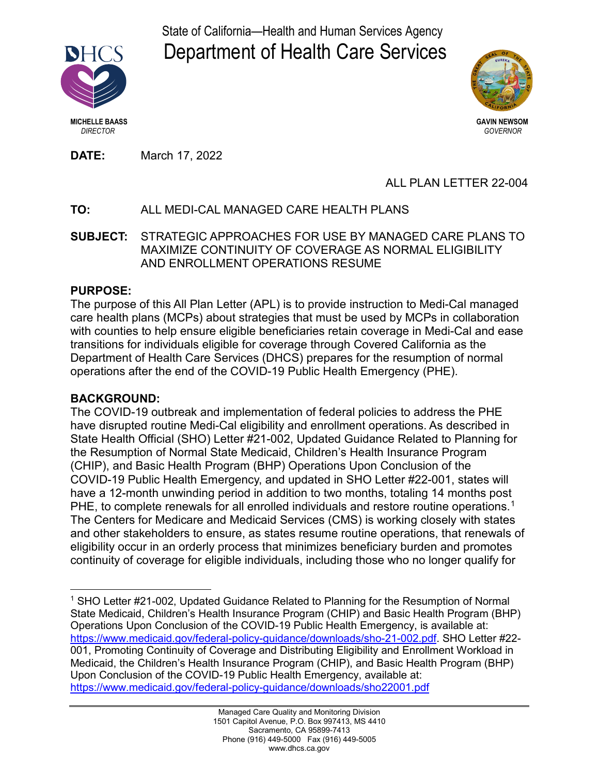State of California—Health and Human Services Agency Department of Health Care Services





**MICHELLE BAASS GAVIN NEWSOM**  *DIRECTOR GOVERNOR*

**DATE:** March 17, 2022

# ALL PLAN LETTER 22-004

# **TO:** ALL MEDI-CAL MANAGED CARE HEALTH PLANS

**SUBJECT:** STRATEGIC APPROACHES FOR USE BY MANAGED CARE PLANS TO MAXIMIZE CONTINUITY OF COVERAGE AS NORMAL ELIGIBILITY AND ENROLLMENT OPERATIONS RESUME

### **PURPOSE:**

The purpose of this All Plan Letter (APL) is to provide instruction to Medi-Cal managed care health plans (MCPs) about strategies that must be used by MCPs in collaboration with counties to help ensure eligible beneficiaries retain coverage in Medi-Cal and ease transitions for individuals eligible for coverage through Covered California as the Department of Health Care Services (DHCS) prepares for the resumption of normal operations after the end of the COVID-19 Public Health Emergency (PHE).

# **BACKGROUND:**

The COVID-19 outbreak and implementation of federal policies to address the PHE have disrupted routine Medi-Cal eligibility and enrollment operations. As described in State Health Official (SHO) Letter #21-002, Updated Guidance Related to Planning for the Resumption of Normal State Medicaid, Children's Health Insurance Program (CHIP), and Basic Health Program (BHP) Operations Upon Conclusion of the COVID-19 Public Health Emergency, and updated in SHO Letter #22-001, states will have a 12-month unwinding period in addition to two months, totaling 14 months post PHE, to complete renewals for all enrolled individuals and restore routine operations. $^{\rm 1}$ The Centers for Medicare and Medicaid Services (CMS) is working closely with states and other stakeholders to ensure, as states resume routine operations, that renewals of eligibility occur in an orderly process that minimizes beneficiary burden and promotes continuity of coverage for eligible individuals, including those who no longer qualify for

 <sup>1</sup> SHO Letter #21-002, Updated Guidance Related to Planning for the Resumption of Normal State Medicaid, Children's Health Insurance Program (CHIP) and Basic Health Program (BHP) Operations Upon Conclusion of the COVID-19 Public Health Emergency, is available at: [https://www.medicaid.gov/federal-policy-guidance/downloads/sho-21-002.pdf.](https://www.medicaid.gov/federal-policy-guidance/downloads/sho-21-002.pdf) SHO Letter #22- 001, Promoting Continuity of Coverage and Distributing Eligibility and Enrollment Workload in Medicaid, the Children's Health Insurance Program (CHIP), and Basic Health Program (BHP) Upon Conclusion of the COVID-19 Public Health Emergency, available at: <https://www.medicaid.gov/federal-policy-guidance/downloads/sho22001.pdf>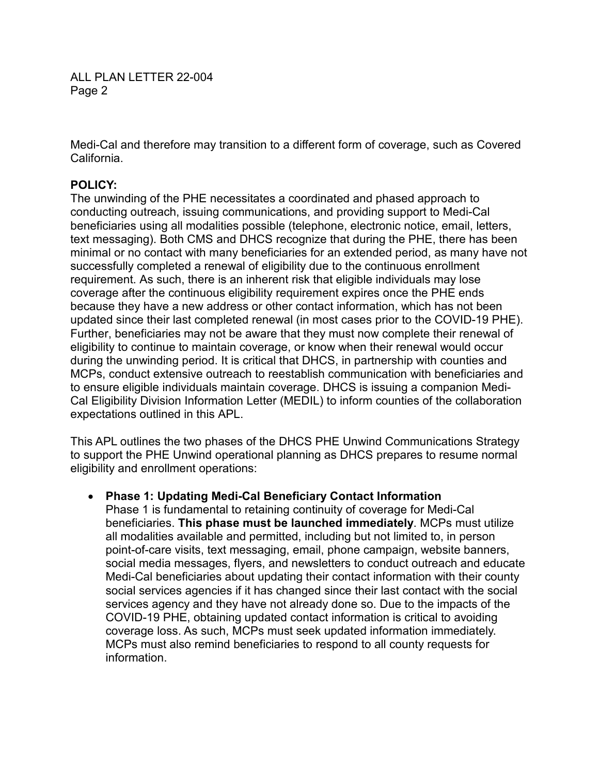ALL PLAN LETTER 22-004 Page 2

Medi-Cal and therefore may transition to a different form of coverage, such as Covered California.

### **POLICY:**

The unwinding of the PHE necessitates a coordinated and phased approach to conducting outreach, issuing communications, and providing support to Medi-Cal beneficiaries using all modalities possible (telephone, electronic notice, email, letters, text messaging). Both CMS and DHCS recognize that during the PHE, there has been minimal or no contact with many beneficiaries for an extended period, as many have not successfully completed a renewal of eligibility due to the continuous enrollment requirement. As such, there is an inherent risk that eligible individuals may lose coverage after the continuous eligibility requirement expires once the PHE ends because they have a new address or other contact information, which has not been updated since their last completed renewal (in most cases prior to the COVID-19 PHE). Further, beneficiaries may not be aware that they must now complete their renewal of eligibility to continue to maintain coverage, or know when their renewal would occur during the unwinding period. It is critical that DHCS, in partnership with counties and MCPs, conduct extensive outreach to reestablish communication with beneficiaries and to ensure eligible individuals maintain coverage. DHCS is issuing a companion Medi-Cal Eligibility Division Information Letter (MEDIL) to inform counties of the collaboration expectations outlined in this APL.

This APL outlines the two phases of the DHCS PHE Unwind Communications Strategy to support the PHE Unwind operational planning as DHCS prepares to resume normal eligibility and enrollment operations:

#### • **Phase 1: Updating Medi-Cal Beneficiary Contact Information**

Phase 1 is fundamental to retaining continuity of coverage for Medi-Cal beneficiaries. **This phase must be launched immediately**. MCPs must utilize all modalities available and permitted, including but not limited to, in person point-of-care visits, text messaging, email, phone campaign, website banners, social media messages, flyers, and newsletters to conduct outreach and educate Medi-Cal beneficiaries about updating their contact information with their county social services agencies if it has changed since their last contact with the social services agency and they have not already done so. Due to the impacts of the COVID-19 PHE, obtaining updated contact information is critical to avoiding coverage loss. As such, MCPs must seek updated information immediately. MCPs must also remind beneficiaries to respond to all county requests for information.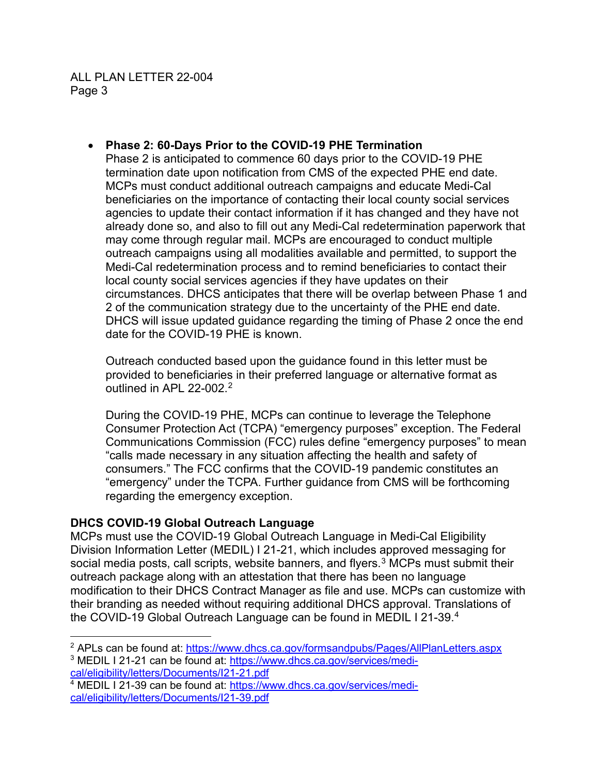• **Phase 2: 60-Days Prior to the COVID-19 PHE Termination**

Phase 2 is anticipated to commence 60 days prior to the COVID-19 PHE termination date upon notification from CMS of the expected PHE end date. MCPs must conduct additional outreach campaigns and educate Medi-Cal beneficiaries on the importance of contacting their local county social services agencies to update their contact information if it has changed and they have not already done so, and also to fill out any Medi-Cal redetermination paperwork that may come through regular mail. MCPs are encouraged to conduct multiple outreach campaigns using all modalities available and permitted, to support the Medi-Cal redetermination process and to remind beneficiaries to contact their local county social services agencies if they have updates on their circumstances. DHCS anticipates that there will be overlap between Phase 1 and 2 of the communication strategy due to the uncertainty of the PHE end date. DHCS will issue updated guidance regarding the timing of Phase 2 once the end date for the COVID-19 PHE is known.

Outreach conducted based upon the guidance found in this letter must be provided to beneficiaries in their preferred language or alternative format as outlined in APL 22-002. 2

During the COVID-19 PHE, MCPs can continue to leverage the Telephone Consumer Protection Act (TCPA) "emergency purposes" exception. The Federal Communications Commission (FCC) rules define "emergency purposes" to mean "calls made necessary in any situation affecting the health and safety of consumers." The FCC confirms that the COVID-19 pandemic constitutes an "emergency" under the TCPA. Further guidance from CMS will be forthcoming regarding the emergency exception.

# **DHCS COVID-19 Global Outreach Language**

MCPs must use the COVID-19 Global Outreach Language in Medi-Cal Eligibility Division Information Letter (MEDIL) I 21-21, which includes approved messaging for social media posts, call scripts, website banners, and flyers. <sup>3</sup> MCPs must submit their outreach package along with an attestation that there has been no language modification to their DHCS Contract Manager as file and use. MCPs can customize with their branding as needed without requiring additional DHCS approval. Translations of the COVID-19 Global Outreach Language can be found in MEDIL I 21-39.<sup>4</sup>

<sup>&</sup>lt;sup>2</sup> APLs can be found at: <https://www.dhcs.ca.gov/formsandpubs/Pages/AllPlanLetters.aspx>

<sup>&</sup>lt;sup>3</sup> MEDIL I 21-21 can be found at: [https://www.dhcs.ca.gov/services/medi](https://www.dhcs.ca.gov/services/medi-cal/eligibility/letters/Documents/I21-21.pdf)[cal/eligibility/letters/Documents/I21-21.pdf](https://www.dhcs.ca.gov/services/medi-cal/eligibility/letters/Documents/I21-21.pdf)

<sup>4</sup> MEDIL I 21-39 can be found at: [https://www.dhcs.ca.gov/services/medi](https://www.dhcs.ca.gov/services/medi-cal/eligibility/letters/Documents/I21-39.pdf)[cal/eligibility/letters/Documents/I21-39.pdf](https://www.dhcs.ca.gov/services/medi-cal/eligibility/letters/Documents/I21-39.pdf)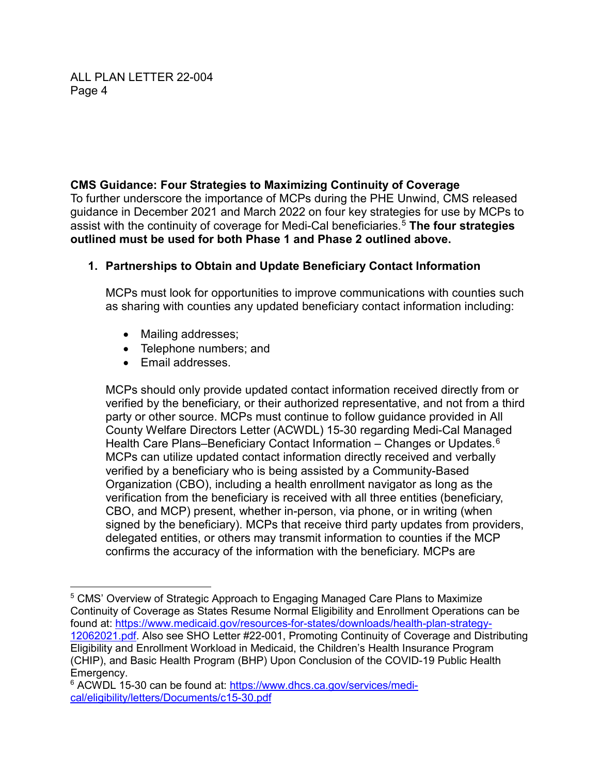### **CMS Guidance: Four Strategies to Maximizing Continuity of Coverage**

To further underscore the importance of MCPs during the PHE Unwind, CMS released guidance in December 2021 and March 2022 on four key strategies for use by MCPs to assist with the continuity of coverage for Medi-Cal beneficiaries. <sup>5</sup> **The four strategies outlined must be used for both Phase 1 and Phase 2 outlined above.**

# **1. Partnerships to Obtain and Update Beneficiary Contact Information**

MCPs must look for opportunities to improve communications with counties such as sharing with counties any updated beneficiary contact information including:

- Mailing addresses;
- Telephone numbers; and
- Email addresses.

MCPs should only provide updated contact information received directly from or verified by the beneficiary, or their authorized representative, and not from a third party or other source. MCPs must continue to follow guidance provided in All County Welfare Directors Letter (ACWDL) 15-30 regarding Medi-Cal Managed Health Care Plans–Beneficiary Contact Information – Changes or Updates. $^6$ MCPs can utilize updated contact information directly received and verbally verified by a beneficiary who is being assisted by a Community-Based Organization (CBO), including a health enrollment navigator as long as the verification from the beneficiary is received with all three entities (beneficiary, CBO, and MCP) present, whether in-person, via phone, or in writing (when signed by the beneficiary). MCPs that receive third party updates from providers, delegated entities, or others may transmit information to counties if the MCP confirms the accuracy of the information with the beneficiary. MCPs are

 <sup>5</sup> CMS' Overview of Strategic Approach to Engaging Managed Care Plans to Maximize Continuity of Coverage as States Resume Normal Eligibility and Enrollment Operations can be found at: [https://www.medicaid.gov/resources-for-states/downloads/health-plan-strategy-](https://www.medicaid.gov/resources-for-states/downloads/health-plan-strategy-12062021.pdf)[12062021.pdf.](https://www.medicaid.gov/resources-for-states/downloads/health-plan-strategy-12062021.pdf) Also see SHO Letter #22-001, Promoting Continuity of Coverage and Distributing Eligibility and Enrollment Workload in Medicaid, the Children's Health Insurance Program (CHIP), and Basic Health Program (BHP) Upon Conclusion of the COVID-19 Public Health Emergency.

<sup>&</sup>lt;sup>6</sup> ACWDL 15-30 can be found at: [https://www.dhcs.ca.gov/services/medi](https://www.dhcs.ca.gov/services/medi-cal/eligibility/letters/Documents/c15-30.pdf)[cal/eligibility/letters/Documents/c15-30.pdf](https://www.dhcs.ca.gov/services/medi-cal/eligibility/letters/Documents/c15-30.pdf)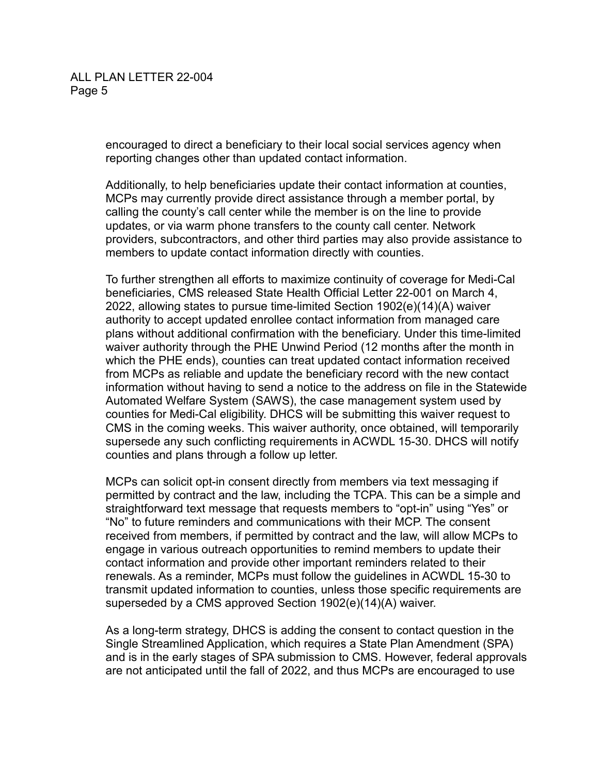encouraged to direct a beneficiary to their local social services agency when reporting changes other than updated contact information.

Additionally, to help beneficiaries update their contact information at counties, MCPs may currently provide direct assistance through a member portal, by calling the county's call center while the member is on the line to provide updates, or via warm phone transfers to the county call center. Network providers, subcontractors, and other third parties may also provide assistance to members to update contact information directly with counties.

To further strengthen all efforts to maximize continuity of coverage for Medi-Cal beneficiaries, CMS released State Health Official Letter 22-001 on March 4, 2022, allowing states to pursue time-limited Section 1902(e)(14)(A) waiver authority to accept updated enrollee contact information from managed care plans without additional confirmation with the beneficiary. Under this time-limited waiver authority through the PHE Unwind Period (12 months after the month in which the PHE ends), counties can treat updated contact information received from MCPs as reliable and update the beneficiary record with the new contact information without having to send a notice to the address on file in the Statewide Automated Welfare System (SAWS), the case management system used by counties for Medi-Cal eligibility. DHCS will be submitting this waiver request to CMS in the coming weeks. This waiver authority, once obtained, will temporarily supersede any such conflicting requirements in ACWDL 15-30. DHCS will notify counties and plans through a follow up letter.

MCPs can solicit opt-in consent directly from members via text messaging if permitted by contract and the law, including the TCPA. This can be a simple and straightforward text message that requests members to "opt-in" using "Yes" or "No" to future reminders and communications with their MCP. The consent received from members, if permitted by contract and the law, will allow MCPs to engage in various outreach opportunities to remind members to update their contact information and provide other important reminders related to their renewals. As a reminder, MCPs must follow the guidelines in ACWDL 15-30 to transmit updated information to counties, unless those specific requirements are superseded by a CMS approved Section 1902(e)(14)(A) waiver.

As a long-term strategy, DHCS is adding the consent to contact question in the Single Streamlined Application, which requires a State Plan Amendment (SPA) and is in the early stages of SPA submission to CMS. However, federal approvals are not anticipated until the fall of 2022, and thus MCPs are encouraged to use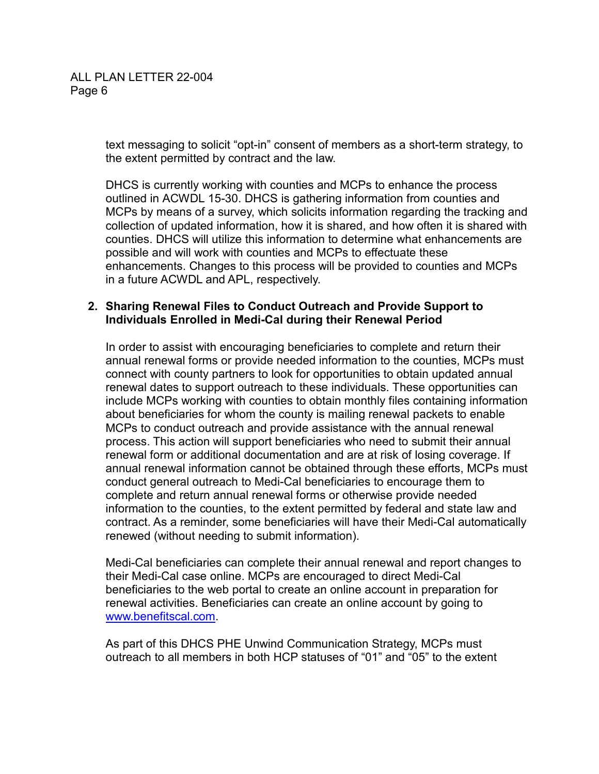text messaging to solicit "opt-in" consent of members as a short-term strategy, to the extent permitted by contract and the law.

DHCS is currently working with counties and MCPs to enhance the process outlined in ACWDL 15-30. DHCS is gathering information from counties and MCPs by means of a survey, which solicits information regarding the tracking and collection of updated information, how it is shared, and how often it is shared with counties. DHCS will utilize this information to determine what enhancements are possible and will work with counties and MCPs to effectuate these enhancements. Changes to this process will be provided to counties and MCPs in a future ACWDL and APL, respectively.

#### **2. Sharing Renewal Files to Conduct Outreach and Provide Support to Individuals Enrolled in Medi-Cal during their Renewal Period**

In order to assist with encouraging beneficiaries to complete and return their annual renewal forms or provide needed information to the counties, MCPs must connect with county partners to look for opportunities to obtain updated annual renewal dates to support outreach to these individuals. These opportunities can include MCPs working with counties to obtain monthly files containing information about beneficiaries for whom the county is mailing renewal packets to enable MCPs to conduct outreach and provide assistance with the annual renewal process. This action will support beneficiaries who need to submit their annual renewal form or additional documentation and are at risk of losing coverage. If annual renewal information cannot be obtained through these efforts, MCPs must conduct general outreach to Medi-Cal beneficiaries to encourage them to complete and return annual renewal forms or otherwise provide needed information to the counties, to the extent permitted by federal and state law and contract. As a reminder, some beneficiaries will have their Medi-Cal automatically renewed (without needing to submit information).

Medi-Cal beneficiaries can complete their annual renewal and report changes to their Medi-Cal case online. MCPs are encouraged to direct Medi-Cal beneficiaries to the web portal to create an online account in preparation for renewal activities. Beneficiaries can create an online account by going to [www.benefitscal.com.](http://www.benefitscal.com/)

As part of this DHCS PHE Unwind Communication Strategy, MCPs must outreach to all members in both HCP statuses of "01" and "05" to the extent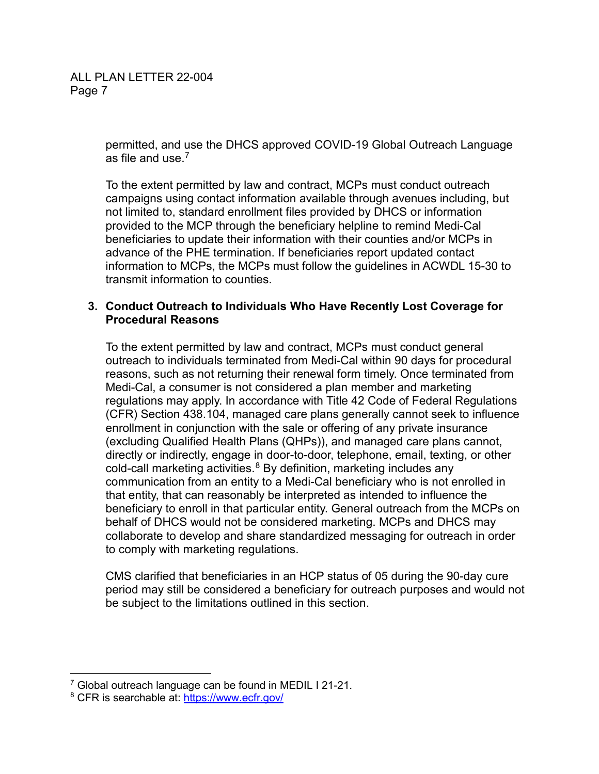permitted, and use the DHCS approved COVID-19 Global Outreach Language as file and use  $<sup>7</sup>$ </sup>

To the extent permitted by law and contract, MCPs must conduct outreach campaigns using contact information available through avenues including, but not limited to, standard enrollment files provided by DHCS or information provided to the MCP through the beneficiary helpline to remind Medi-Cal beneficiaries to update their information with their counties and/or MCPs in advance of the PHE termination. If beneficiaries report updated contact information to MCPs, the MCPs must follow the guidelines in ACWDL 15-30 to transmit information to counties.

#### **3. Conduct Outreach to Individuals Who Have Recently Lost Coverage for Procedural Reasons**

To the extent permitted by law and contract, MCPs must conduct general outreach to individuals terminated from Medi-Cal within 90 days for procedural reasons, such as not returning their renewal form timely. Once terminated from Medi-Cal, a consumer is not considered a plan member and marketing regulations may apply. In accordance with Title 42 Code of Federal Regulations (CFR) Section 438.104, managed care plans generally cannot seek to influence enrollment in conjunction with the sale or offering of any private insurance (excluding Qualified Health Plans (QHPs)), and managed care plans cannot, directly or indirectly, engage in door-to-door, telephone, email, texting, or other cold-call marketing activities. $^8$  By definition, marketing includes any communication from an entity to a Medi-Cal beneficiary who is not enrolled in that entity, that can reasonably be interpreted as intended to influence the beneficiary to enroll in that particular entity. General outreach from the MCPs on behalf of DHCS would not be considered marketing. MCPs and DHCS may collaborate to develop and share standardized messaging for outreach in order to comply with marketing regulations.

CMS clarified that beneficiaries in an HCP status of 05 during the 90-day cure period may still be considered a beneficiary for outreach purposes and would not be subject to the limitations outlined in this section.

 <sup>7</sup> Global outreach language can be found in MEDIL I 21-21.

<sup>8</sup> CFR is searchable at: <https://www.ecfr.gov/>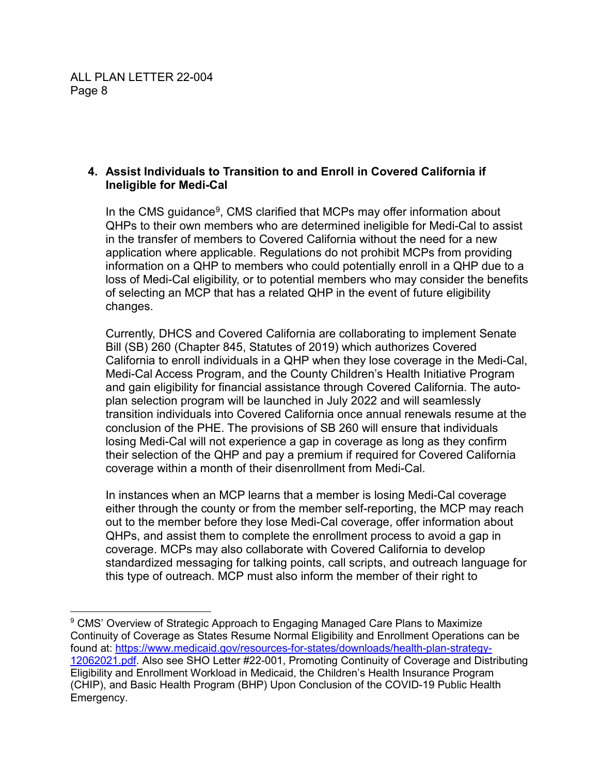### **4. Assist Individuals to Transition to and Enroll in Covered California if Ineligible for Medi-Cal**

In the CMS guidance $9$ , CMS clarified that MCPs may offer information about QHPs to their own members who are determined ineligible for Medi-Cal to assist in the transfer of members to Covered California without the need for a new application where applicable. Regulations do not prohibit MCPs from providing information on a QHP to members who could potentially enroll in a QHP due to a loss of Medi-Cal eligibility, or to potential members who may consider the benefits of selecting an MCP that has a related QHP in the event of future eligibility changes.

Currently, DHCS and Covered California are collaborating to implement Senate Bill (SB) 260 (Chapter 845, Statutes of 2019) which authorizes Covered California to enroll individuals in a QHP when they lose coverage in the Medi-Cal, Medi-Cal Access Program, and the County Children's Health Initiative Program and gain eligibility for financial assistance through Covered California. The autoplan selection program will be launched in July 2022 and will seamlessly transition individuals into Covered California once annual renewals resume at the conclusion of the PHE. The provisions of SB 260 will ensure that individuals losing Medi-Cal will not experience a gap in coverage as long as they confirm their selection of the QHP and pay a premium if required for Covered California coverage within a month of their disenrollment from Medi-Cal.

In instances when an MCP learns that a member is losing Medi-Cal coverage either through the county or from the member self-reporting, the MCP may reach out to the member before they lose Medi-Cal coverage, offer information about QHPs, and assist them to complete the enrollment process to avoid a gap in coverage. MCPs may also collaborate with Covered California to develop standardized messaging for talking points, call scripts, and outreach language for this type of outreach. MCP must also inform the member of their right to

<sup>&</sup>lt;sup>9</sup> CMS' Overview of Strategic Approach to Engaging Managed Care Plans to Maximize Continuity of Coverage as States Resume Normal Eligibility and Enrollment Operations can be found at: [https://www.medicaid.gov/resources-for-states/downloads/health-plan-strategy-](https://www.medicaid.gov/resources-for-states/downloads/health-plan-strategy-12062021.pdf)[12062021.pdf.](https://www.medicaid.gov/resources-for-states/downloads/health-plan-strategy-12062021.pdf) Also see SHO Letter #22-001, Promoting Continuity of Coverage and Distributing Eligibility and Enrollment Workload in Medicaid, the Children's Health Insurance Program (CHIP), and Basic Health Program (BHP) Upon Conclusion of the COVID-19 Public Health Emergency.